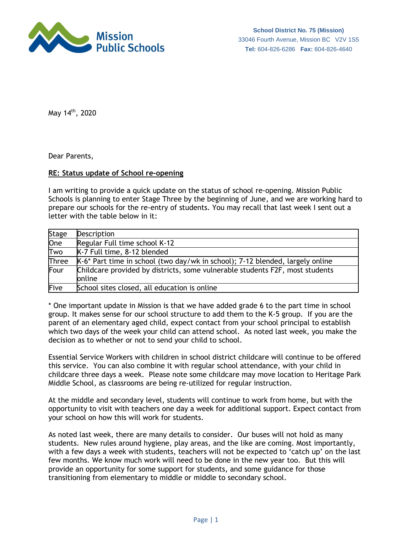

May 14th, 2020

Dear Parents,

## **RE: Status update of School re-opening**

I am writing to provide a quick update on the status of school re-opening. Mission Public Schools is planning to enter Stage Three by the beginning of June, and we are working hard to prepare our schools for the re-entry of students. You may recall that last week I sent out a letter with the table below in it:

| <b>Stage</b>     | <b>Description</b>                                                                     |
|------------------|----------------------------------------------------------------------------------------|
| $\overline{One}$ | Regular Full time school K-12                                                          |
| Two              | K-7 Full time, 8-12 blended                                                            |
| Three            | K-6* Part time in school (two day/wk in school); 7-12 blended, largely online          |
| Four             | Childcare provided by districts, some vulnerable students F2F, most students<br>online |
| Five             | School sites closed, all education is online                                           |

\* One important update in Mission is that we have added grade 6 to the part time in school group. It makes sense for our school structure to add them to the K-5 group. If you are the parent of an elementary aged child, expect contact from your school principal to establish which two days of the week your child can attend school. As noted last week, you make the decision as to whether or not to send your child to school.

Essential Service Workers with children in school district childcare will continue to be offered this service. You can also combine it with regular school attendance, with your child in childcare three days a week. Please note some childcare may move location to Heritage Park Middle School, as classrooms are being re-utilized for regular instruction.

At the middle and secondary level, students will continue to work from home, but with the opportunity to visit with teachers one day a week for additional support. Expect contact from your school on how this will work for students.

As noted last week, there are many details to consider. Our buses will not hold as many students. New rules around hygiene, play areas, and the like are coming. Most importantly, with a few days a week with students, teachers will not be expected to 'catch up' on the last few months. We know much work will need to be done in the new year too. But this will provide an opportunity for some support for students, and some guidance for those transitioning from elementary to middle or middle to secondary school.